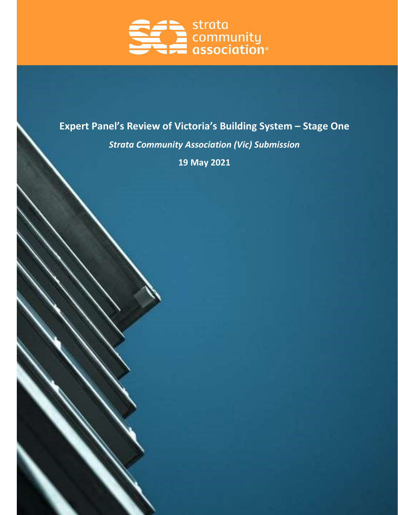

# Expert Panel's Review of Victoria's Building System – Stage One

Strata Community Association (Vic) Submission

19 May 2021

 $\sim$   $\sim$   $\sim$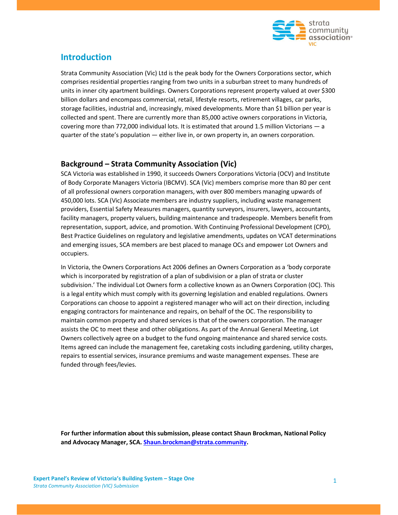

# Introduction

Strata Community Association (Vic) Ltd is the peak body for the Owners Corporations sector, which comprises residential properties ranging from two units in a suburban street to many hundreds of units in inner city apartment buildings. Owners Corporations represent property valued at over \$300 billion dollars and encompass commercial, retail, lifestyle resorts, retirement villages, car parks, storage facilities, industrial and, increasingly, mixed developments. More than \$1 billion per year is collected and spent. There are currently more than 85,000 active owners corporations in Victoria, covering more than 772,000 individual lots. It is estimated that around 1.5 million Victorians — a quarter of the state's population — either live in, or own property in, an owners corporation.

# Background – Strata Community Association (Vic)

SCA Victoria was established in 1990, it succeeds Owners Corporations Victoria (OCV) and Institute of Body Corporate Managers Victoria (IBCMV). SCA (Vic) members comprise more than 80 per cent of all professional owners corporation managers, with over 800 members managing upwards of 450,000 lots. SCA (Vic) Associate members are industry suppliers, including waste management providers, Essential Safety Measures managers, quantity surveyors, insurers, lawyers, accountants, facility managers, property valuers, building maintenance and tradespeople. Members benefit from representation, support, advice, and promotion. With Continuing Professional Development (CPD), Best Practice Guidelines on regulatory and legislative amendments, updates on VCAT determinations and emerging issues, SCA members are best placed to manage OCs and empower Lot Owners and occupiers.

In Victoria, the Owners Corporations Act 2006 defines an Owners Corporation as a 'body corporate which is incorporated by registration of a plan of subdivision or a plan of strata or cluster subdivision.' The individual Lot Owners form a collective known as an Owners Corporation (OC). This is a legal entity which must comply with its governing legislation and enabled regulations. Owners Corporations can choose to appoint a registered manager who will act on their direction, including engaging contractors for maintenance and repairs, on behalf of the OC. The responsibility to maintain common property and shared services is that of the owners corporation. The manager assists the OC to meet these and other obligations. As part of the Annual General Meeting, Lot Owners collectively agree on a budget to the fund ongoing maintenance and shared service costs. Items agreed can include the management fee, caretaking costs including gardening, utility charges, repairs to essential services, insurance premiums and waste management expenses. These are funded through fees/levies.

For further information about this submission, please contact Shaun Brockman, National Policy and Advocacy Manager, SCA. Shaun.brockman@strata.community.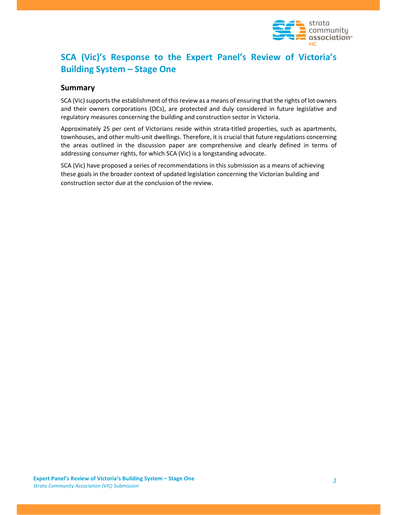

# SCA (Vic)'s Response to the Expert Panel's Review of Victoria's Building System – Stage One

# Summary

SCA (Vic) supports the establishment of this review as a means of ensuring that the rights of lot owners and their owners corporations (OCs), are protected and duly considered in future legislative and regulatory measures concerning the building and construction sector in Victoria.

Approximately 25 per cent of Victorians reside within strata-titled properties, such as apartments, townhouses, and other multi-unit dwellings. Therefore, it is crucial that future regulations concerning the areas outlined in the discussion paper are comprehensive and clearly defined in terms of addressing consumer rights, for which SCA (Vic) is a longstanding advocate.

SCA (Vic) have proposed a series of recommendations in this submission as a means of achieving these goals in the broader context of updated legislation concerning the Victorian building and construction sector due at the conclusion of the review.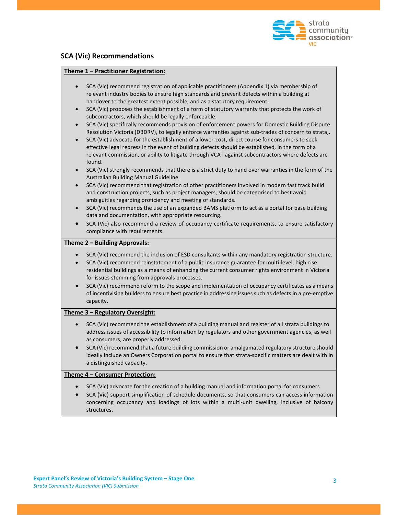

# SCA (Vic) Recommendations

#### Theme 1 – Practitioner Registration:

| SCA (Vic) recommend registration of applicable practitioners (Appendix 1) via membership of                            |
|------------------------------------------------------------------------------------------------------------------------|
| relevant industry bodies to ensure high standards and prevent defects within a building at                             |
| handover to the greatest extent possible, and as a statutory requirement.                                              |
| $CCA, B.0.1$ and a controller than the control of a former of about the measurement of the transition of $\mathcal{L}$ |

- SCA (Vic) proposes the establishment of a form of statutory warranty that protects the work of subcontractors, which should be legally enforceable.
- SCA (Vic) specifically recommends provision of enforcement powers for Domestic Building Dispute Resolution Victoria (DBDRV), to legally enforce warranties against sub-trades of concern to strata,.
- SCA (Vic) advocate for the establishment of a lower-cost, direct course for consumers to seek effective legal redress in the event of building defects should be established, in the form of a relevant commission, or ability to litigate through VCAT against subcontractors where defects are found.
- SCA (Vic) strongly recommends that there is a strict duty to hand over warranties in the form of the Australian Building Manual Guideline.
- SCA (Vic) recommend that registration of other practitioners involved in modern fast track build and construction projects, such as project managers, should be categorised to best avoid ambiguities regarding proficiency and meeting of standards.
- SCA (Vic) recommends the use of an expanded BAMS platform to act as a portal for base building data and documentation, with appropriate resourcing.
- SCA (Vic) also recommend a review of occupancy certificate requirements, to ensure satisfactory compliance with requirements.

#### Theme 2 – Building Approvals:

- SCA (Vic) recommend the inclusion of ESD consultants within any mandatory registration structure.
- SCA (Vic) recommend reinstatement of a public insurance guarantee for multi-level, high-rise residential buildings as a means of enhancing the current consumer rights environment in Victoria for issues stemming from approvals processes.
- SCA (Vic) recommend reform to the scope and implementation of occupancy certificates as a means of incentivising builders to ensure best practice in addressing issues such as defects in a pre-emptive capacity.

#### Theme 3 – Regulatory Oversight:

- SCA (Vic) recommend the establishment of a building manual and register of all strata buildings to address issues of accessibility to information by regulators and other government agencies, as well as consumers, are properly addressed.
- SCA (Vic) recommend that a future building commission or amalgamated regulatory structure should ideally include an Owners Corporation portal to ensure that strata-specific matters are dealt with in a distinguished capacity.

#### Theme 4 – Consumer Protection:

- SCA (Vic) advocate for the creation of a building manual and information portal for consumers.
- SCA (Vic) support simplification of schedule documents, so that consumers can access information concerning occupancy and loadings of lots within a multi-unit dwelling, inclusive of balcony structures.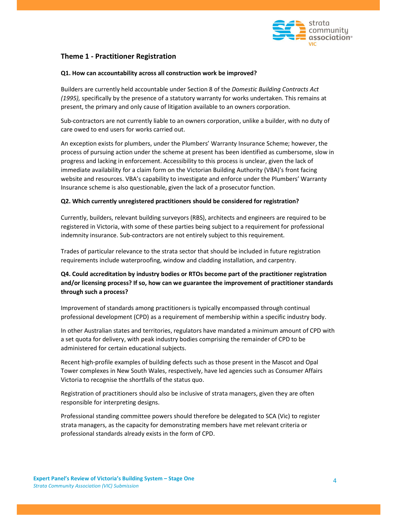

# Theme 1 - Practitioner Registration

#### Q1. How can accountability across all construction work be improved?

Builders are currently held accountable under Section 8 of the Domestic Building Contracts Act (1995), specifically by the presence of a statutory warranty for works undertaken. This remains at present, the primary and only cause of litigation available to an owners corporation.

Sub-contractors are not currently liable to an owners corporation, unlike a builder, with no duty of care owed to end users for works carried out.

An exception exists for plumbers, under the Plumbers' Warranty Insurance Scheme; however, the process of pursuing action under the scheme at present has been identified as cumbersome, slow in progress and lacking in enforcement. Accessibility to this process is unclear, given the lack of immediate availability for a claim form on the Victorian Building Authority (VBA)'s front facing website and resources. VBA's capability to investigate and enforce under the Plumbers' Warranty Insurance scheme is also questionable, given the lack of a prosecutor function.

#### Q2. Which currently unregistered practitioners should be considered for registration?

Currently, builders, relevant building surveyors (RBS), architects and engineers are required to be registered in Victoria, with some of these parties being subject to a requirement for professional indemnity insurance. Sub-contractors are not entirely subject to this requirement.

Trades of particular relevance to the strata sector that should be included in future registration requirements include waterproofing, window and cladding installation, and carpentry.

# Q4. Could accreditation by industry bodies or RTOs become part of the practitioner registration and/or licensing process? If so, how can we guarantee the improvement of practitioner standards through such a process?

Improvement of standards among practitioners is typically encompassed through continual professional development (CPD) as a requirement of membership within a specific industry body.

In other Australian states and territories, regulators have mandated a minimum amount of CPD with a set quota for delivery, with peak industry bodies comprising the remainder of CPD to be administered for certain educational subjects.

Recent high-profile examples of building defects such as those present in the Mascot and Opal Tower complexes in New South Wales, respectively, have led agencies such as Consumer Affairs Victoria to recognise the shortfalls of the status quo.

Registration of practitioners should also be inclusive of strata managers, given they are often responsible for interpreting designs.

Professional standing committee powers should therefore be delegated to SCA (Vic) to register strata managers, as the capacity for demonstrating members have met relevant criteria or professional standards already exists in the form of CPD.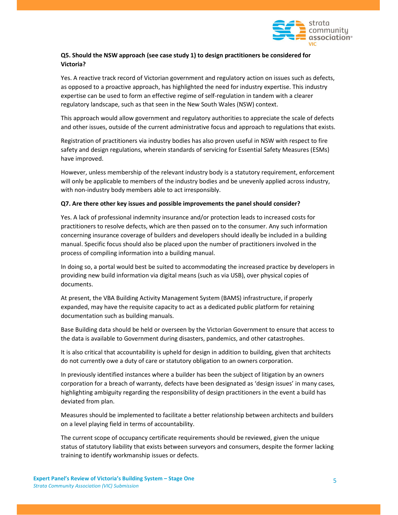

# Q5. Should the NSW approach (see case study 1) to design practitioners be considered for Victoria?

Yes. A reactive track record of Victorian government and regulatory action on issues such as defects, as opposed to a proactive approach, has highlighted the need for industry expertise. This industry expertise can be used to form an effective regime of self-regulation in tandem with a clearer regulatory landscape, such as that seen in the New South Wales (NSW) context.

This approach would allow government and regulatory authorities to appreciate the scale of defects and other issues, outside of the current administrative focus and approach to regulations that exists.

Registration of practitioners via industry bodies has also proven useful in NSW with respect to fire safety and design regulations, wherein standards of servicing for Essential Safety Measures (ESMs) have improved.

However, unless membership of the relevant industry body is a statutory requirement, enforcement will only be applicable to members of the industry bodies and be unevenly applied across industry, with non-industry body members able to act irresponsibly.

#### Q7. Are there other key issues and possible improvements the panel should consider?

Yes. A lack of professional indemnity insurance and/or protection leads to increased costs for practitioners to resolve defects, which are then passed on to the consumer. Any such information concerning insurance coverage of builders and developers should ideally be included in a building manual. Specific focus should also be placed upon the number of practitioners involved in the process of compiling information into a building manual.

In doing so, a portal would best be suited to accommodating the increased practice by developers in providing new build information via digital means (such as via USB), over physical copies of documents.

At present, the VBA Building Activity Management System (BAMS) infrastructure, if properly expanded, may have the requisite capacity to act as a dedicated public platform for retaining documentation such as building manuals.

Base Building data should be held or overseen by the Victorian Government to ensure that access to the data is available to Government during disasters, pandemics, and other catastrophes.

It is also critical that accountability is upheld for design in addition to building, given that architects do not currently owe a duty of care or statutory obligation to an owners corporation.

In previously identified instances where a builder has been the subject of litigation by an owners corporation for a breach of warranty, defects have been designated as 'design issues' in many cases, highlighting ambiguity regarding the responsibility of design practitioners in the event a build has deviated from plan.

Measures should be implemented to facilitate a better relationship between architects and builders on a level playing field in terms of accountability.

The current scope of occupancy certificate requirements should be reviewed, given the unique status of statutory liability that exists between surveyors and consumers, despite the former lacking training to identify workmanship issues or defects.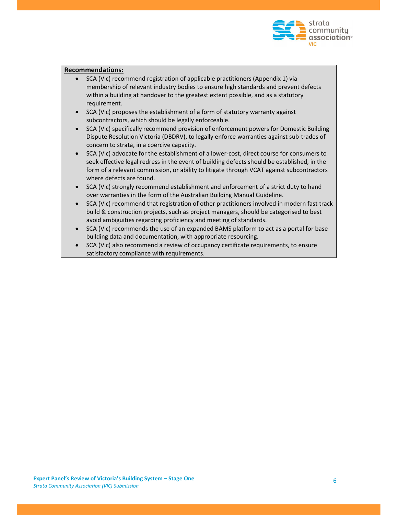

### Recommendations:

- SCA (Vic) recommend registration of applicable practitioners (Appendix 1) via membership of relevant industry bodies to ensure high standards and prevent defects within a building at handover to the greatest extent possible, and as a statutory requirement.
- SCA (Vic) proposes the establishment of a form of statutory warranty against subcontractors, which should be legally enforceable.
- SCA (Vic) specifically recommend provision of enforcement powers for Domestic Building Dispute Resolution Victoria (DBDRV), to legally enforce warranties against sub-trades of concern to strata, in a coercive capacity.
- SCA (Vic) advocate for the establishment of a lower-cost, direct course for consumers to seek effective legal redress in the event of building defects should be established, in the form of a relevant commission, or ability to litigate through VCAT against subcontractors where defects are found.
- SCA (Vic) strongly recommend establishment and enforcement of a strict duty to hand over warranties in the form of the Australian Building Manual Guideline.
- SCA (Vic) recommend that registration of other practitioners involved in modern fast track build & construction projects, such as project managers, should be categorised to best avoid ambiguities regarding proficiency and meeting of standards.
- SCA (Vic) recommends the use of an expanded BAMS platform to act as a portal for base building data and documentation, with appropriate resourcing.
- SCA (Vic) also recommend a review of occupancy certificate requirements, to ensure satisfactory compliance with requirements.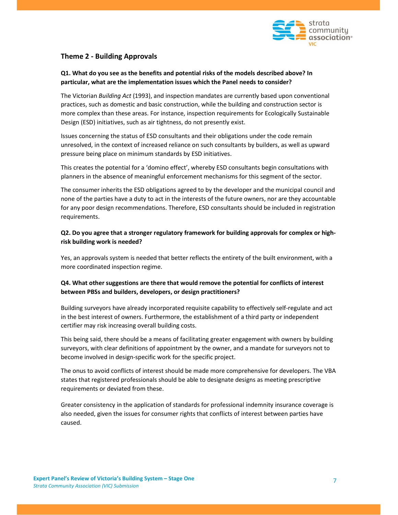

# Theme 2 - Building Approvals

# Q1. What do you see as the benefits and potential risks of the models described above? In particular, what are the implementation issues which the Panel needs to consider?

The Victorian Building Act (1993), and inspection mandates are currently based upon conventional practices, such as domestic and basic construction, while the building and construction sector is more complex than these areas. For instance, inspection requirements for Ecologically Sustainable Design (ESD) initiatives, such as air tightness, do not presently exist.

Issues concerning the status of ESD consultants and their obligations under the code remain unresolved, in the context of increased reliance on such consultants by builders, as well as upward pressure being place on minimum standards by ESD initiatives.

This creates the potential for a 'domino effect', whereby ESD consultants begin consultations with planners in the absence of meaningful enforcement mechanisms for this segment of the sector.

The consumer inherits the ESD obligations agreed to by the developer and the municipal council and none of the parties have a duty to act in the interests of the future owners, nor are they accountable for any poor design recommendations. Therefore, ESD consultants should be included in registration requirements.

## Q2. Do you agree that a stronger regulatory framework for building approvals for complex or highrisk building work is needed?

Yes, an approvals system is needed that better reflects the entirety of the built environment, with a more coordinated inspection regime.

# Q4. What other suggestions are there that would remove the potential for conflicts of interest between PBSs and builders, developers, or design practitioners?

Building surveyors have already incorporated requisite capability to effectively self-regulate and act in the best interest of owners. Furthermore, the establishment of a third party or independent certifier may risk increasing overall building costs.

This being said, there should be a means of facilitating greater engagement with owners by building surveyors, with clear definitions of appointment by the owner, and a mandate for surveyors not to become involved in design-specific work for the specific project.

The onus to avoid conflicts of interest should be made more comprehensive for developers. The VBA states that registered professionals should be able to designate designs as meeting prescriptive requirements or deviated from these.

Greater consistency in the application of standards for professional indemnity insurance coverage is also needed, given the issues for consumer rights that conflicts of interest between parties have caused.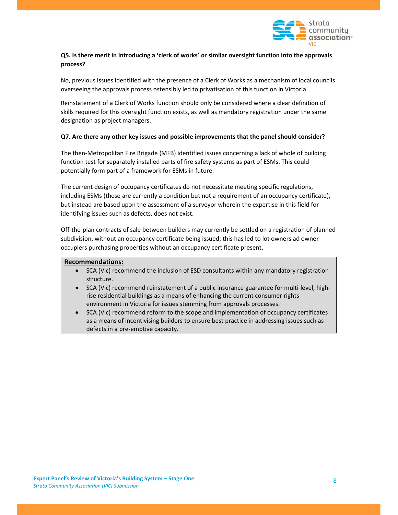

# Q5. Is there merit in introducing a 'clerk of works' or similar oversight function into the approvals process?

No, previous issues identified with the presence of a Clerk of Works as a mechanism of local councils overseeing the approvals process ostensibly led to privatisation of this function in Victoria.

Reinstatement of a Clerk of Works function should only be considered where a clear definition of skills required for this oversight function exists, as well as mandatory registration under the same designation as project managers.

#### Q7. Are there any other key issues and possible improvements that the panel should consider?

The then-Metropolitan Fire Brigade (MFB) identified issues concerning a lack of whole of building function test for separately installed parts of fire safety systems as part of ESMs. This could potentially form part of a framework for ESMs in future.

The current design of occupancy certificates do not necessitate meeting specific regulations, including ESMs (these are currently a condition but not a requirement of an occupancy certificate), but instead are based upon the assessment of a surveyor wherein the expertise in this field for identifying issues such as defects, does not exist.

Off-the-plan contracts of sale between builders may currently be settled on a registration of planned subdivision, without an occupancy certificate being issued; this has led to lot owners ad owneroccupiers purchasing properties without an occupancy certificate present.

#### Recommendations:

- SCA (Vic) recommend the inclusion of ESD consultants within any mandatory registration structure.
- SCA (Vic) recommend reinstatement of a public insurance guarantee for multi-level, highrise residential buildings as a means of enhancing the current consumer rights environment in Victoria for issues stemming from approvals processes.
- SCA (Vic) recommend reform to the scope and implementation of occupancy certificates as a means of incentivising builders to ensure best practice in addressing issues such as defects in a pre-emptive capacity.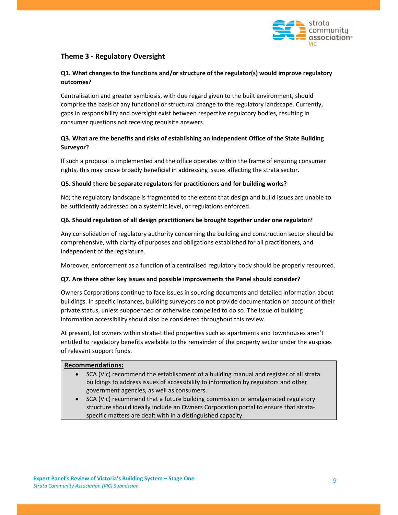

# Theme 3 - Regulatory Oversight

# Q1. What changes to the functions and/or structure of the regulator(s) would improve regulatory outcomes?

Centralisation and greater symbiosis, with due regard given to the built environment, should comprise the basis of any functional or structural change to the regulatory landscape. Currently, gaps in responsibility and oversight exist between respective regulatory bodies, resulting in consumer questions not receiving requisite answers.

# Q3. What are the benefits and risks of establishing an independent Office of the State Building Surveyor?

If such a proposal is implemented and the office operates within the frame of ensuring consumer rights, this may prove broadly beneficial in addressing issues affecting the strata sector.

### Q5. Should there be separate regulators for practitioners and for building works?

No; the regulatory landscape is fragmented to the extent that design and build issues are unable to be sufficiently addressed on a systemic level, or regulations enforced.

### Q6. Should regulation of all design practitioners be brought together under one regulator?

Any consolidation of regulatory authority concerning the building and construction sector should be comprehensive, with clarity of purposes and obligations established for all practitioners, and independent of the legislature.

Moreover, enforcement as a function of a centralised regulatory body should be properly resourced.

#### Q7. Are there other key issues and possible improvements the Panel should consider?

Owners Corporations continue to face issues in sourcing documents and detailed information about buildings. In specific instances, building surveyors do not provide documentation on account of their private status, unless subpoenaed or otherwise compelled to do so. The issue of building information accessibility should also be considered throughout this review.

At present, lot owners within strata-titled properties such as apartments and townhouses aren't entitled to regulatory benefits available to the remainder of the property sector under the auspices of relevant support funds.

#### Recommendations:

- SCA (Vic) recommend the establishment of a building manual and register of all strata buildings to address issues of accessibility to information by regulators and other government agencies, as well as consumers.
- SCA (Vic) recommend that a future building commission or amalgamated regulatory structure should ideally include an Owners Corporation portal to ensure that strataspecific matters are dealt with in a distinguished capacity.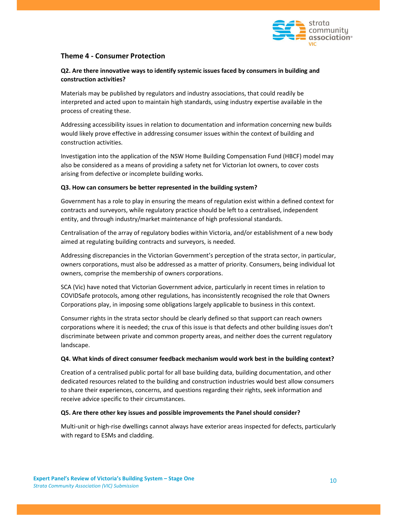

# Theme 4 - Consumer Protection

# Q2. Are there innovative ways to identify systemic issues faced by consumers in building and construction activities?

Materials may be published by regulators and industry associations, that could readily be interpreted and acted upon to maintain high standards, using industry expertise available in the process of creating these.

Addressing accessibility issues in relation to documentation and information concerning new builds would likely prove effective in addressing consumer issues within the context of building and construction activities.

Investigation into the application of the NSW Home Building Compensation Fund (HBCF) model may also be considered as a means of providing a safety net for Victorian lot owners, to cover costs arising from defective or incomplete building works.

#### Q3. How can consumers be better represented in the building system?

Government has a role to play in ensuring the means of regulation exist within a defined context for contracts and surveyors, while regulatory practice should be left to a centralised, independent entity, and through industry/market maintenance of high professional standards.

Centralisation of the array of regulatory bodies within Victoria, and/or establishment of a new body aimed at regulating building contracts and surveyors, is needed.

Addressing discrepancies in the Victorian Government's perception of the strata sector, in particular, owners corporations, must also be addressed as a matter of priority. Consumers, being individual lot owners, comprise the membership of owners corporations.

SCA (Vic) have noted that Victorian Government advice, particularly in recent times in relation to COVIDSafe protocols, among other regulations, has inconsistently recognised the role that Owners Corporations play, in imposing some obligations largely applicable to business in this context.

Consumer rights in the strata sector should be clearly defined so that support can reach owners corporations where it is needed; the crux of this issue is that defects and other building issues don't discriminate between private and common property areas, and neither does the current regulatory landscape.

#### Q4. What kinds of direct consumer feedback mechanism would work best in the building context?

Creation of a centralised public portal for all base building data, building documentation, and other dedicated resources related to the building and construction industries would best allow consumers to share their experiences, concerns, and questions regarding their rights, seek information and receive advice specific to their circumstances.

#### Q5. Are there other key issues and possible improvements the Panel should consider?

Multi-unit or high-rise dwellings cannot always have exterior areas inspected for defects, particularly with regard to ESMs and cladding.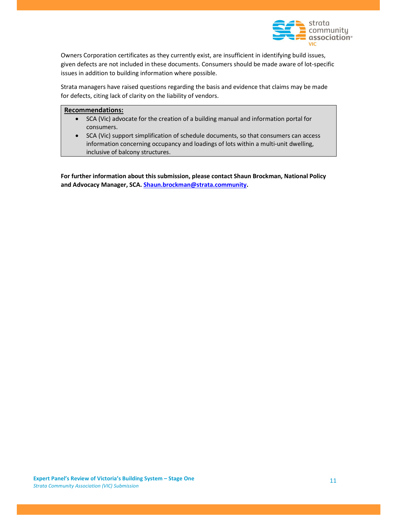

Owners Corporation certificates as they currently exist, are insufficient in identifying build issues, given defects are not included in these documents. Consumers should be made aware of lot-specific issues in addition to building information where possible.

Strata managers have raised questions regarding the basis and evidence that claims may be made for defects, citing lack of clarity on the liability of vendors.

### Recommendations:

- SCA (Vic) advocate for the creation of a building manual and information portal for consumers.
- SCA (Vic) support simplification of schedule documents, so that consumers can access information concerning occupancy and loadings of lots within a multi-unit dwelling, inclusive of balcony structures.

For further information about this submission, please contact Shaun Brockman, National Policy and Advocacy Manager, SCA. Shaun.brockman@strata.community.